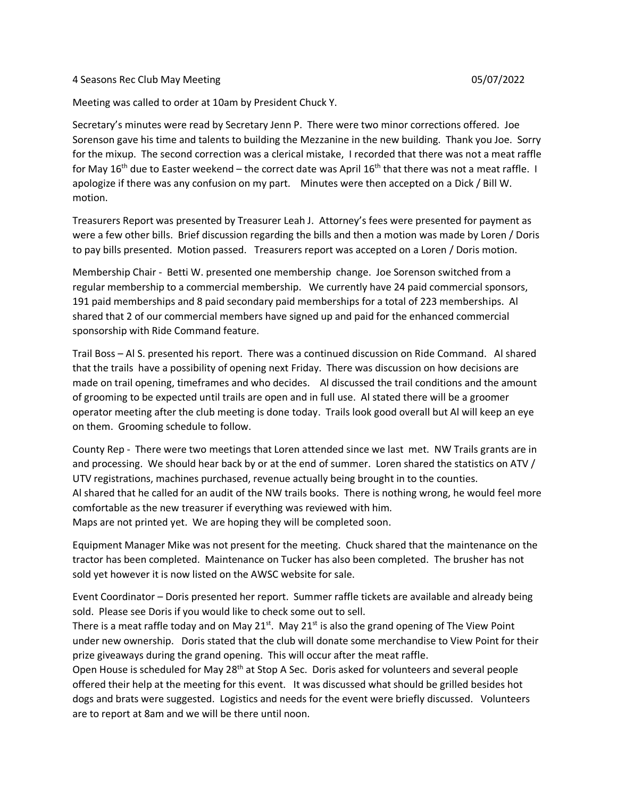## 4 Seasons Rec Club May Meeting 05/07/2022

Meeting was called to order at 10am by President Chuck Y.

Secretary's minutes were read by Secretary Jenn P. There were two minor corrections offered. Joe Sorenson gave his time and talents to building the Mezzanine in the new building. Thank you Joe. Sorry for the mixup. The second correction was a clerical mistake, I recorded that there was not a meat raffle for May 16<sup>th</sup> due to Easter weekend – the correct date was April 16<sup>th</sup> that there was not a meat raffle. I apologize if there was any confusion on my part. Minutes were then accepted on a Dick / Bill W. motion.

Treasurers Report was presented by Treasurer Leah J. Attorney's fees were presented for payment as were a few other bills. Brief discussion regarding the bills and then a motion was made by Loren / Doris to pay bills presented. Motion passed. Treasurers report was accepted on a Loren / Doris motion.

Membership Chair - Betti W. presented one membership change. Joe Sorenson switched from a regular membership to a commercial membership. We currently have 24 paid commercial sponsors, 191 paid memberships and 8 paid secondary paid memberships for a total of 223 memberships. Al shared that 2 of our commercial members have signed up and paid for the enhanced commercial sponsorship with Ride Command feature.

Trail Boss – Al S. presented his report. There was a continued discussion on Ride Command. Al shared that the trails have a possibility of opening next Friday. There was discussion on how decisions are made on trail opening, timeframes and who decides. Al discussed the trail conditions and the amount of grooming to be expected until trails are open and in full use. Al stated there will be a groomer operator meeting after the club meeting is done today. Trails look good overall but Al will keep an eye on them. Grooming schedule to follow.

County Rep - There were two meetings that Loren attended since we last met. NW Trails grants are in and processing. We should hear back by or at the end of summer. Loren shared the statistics on ATV / UTV registrations, machines purchased, revenue actually being brought in to the counties. Al shared that he called for an audit of the NW trails books. There is nothing wrong, he would feel more comfortable as the new treasurer if everything was reviewed with him. Maps are not printed yet. We are hoping they will be completed soon.

Equipment Manager Mike was not present for the meeting. Chuck shared that the maintenance on the tractor has been completed. Maintenance on Tucker has also been completed. The brusher has not sold yet however it is now listed on the AWSC website for sale.

Event Coordinator – Doris presented her report. Summer raffle tickets are available and already being sold. Please see Doris if you would like to check some out to sell.

There is a meat raffle today and on May 21 $s$ <sup>t</sup>. May 21 $s$ <sup>t</sup> is also the grand opening of The View Point under new ownership. Doris stated that the club will donate some merchandise to View Point for their prize giveaways during the grand opening. This will occur after the meat raffle.

Open House is scheduled for May 28<sup>th</sup> at Stop A Sec. Doris asked for volunteers and several people offered their help at the meeting for this event. It was discussed what should be grilled besides hot dogs and brats were suggested. Logistics and needs for the event were briefly discussed. Volunteers are to report at 8am and we will be there until noon.